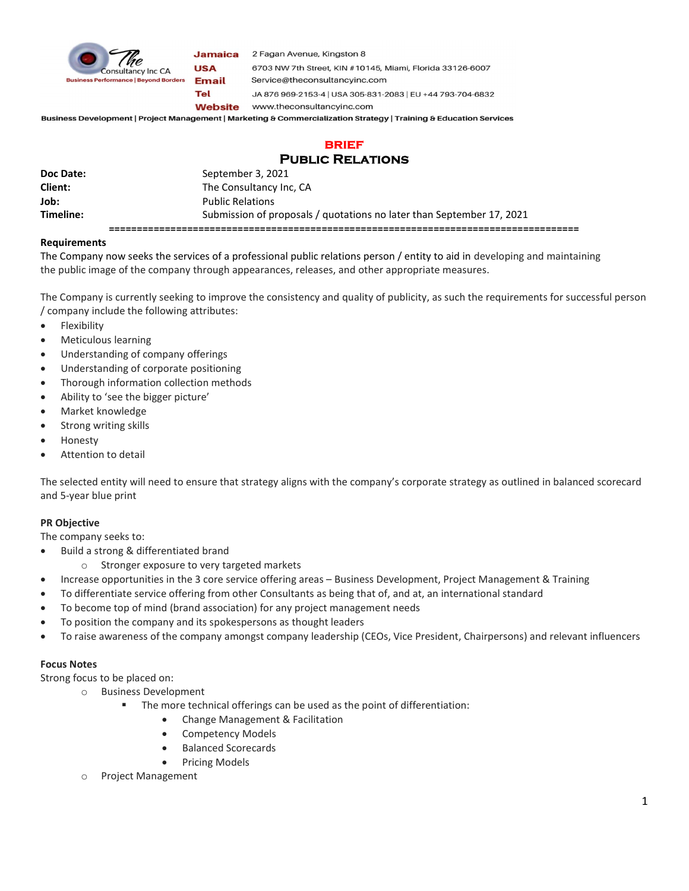

Jamaica 2 Fagan Avenue, Kingston 8

**USA Email** Tel

6703 NW 7th Street, KIN #10145, Miami, Florida 33126-6007 Service@theconsultancyinc.com JA 876 969-2153-4 | USA 305-831-2083 | EU +44 793-704-6832 **Website** www.theconsultancyinc.com

Business Development | Project Management | Marketing & Commercialization Strategy | Training & Education Services

# **BRIEF** Public Relations

| Doc Date: | September 3, 2021                                                     |
|-----------|-----------------------------------------------------------------------|
| Client:   | The Consultancy Inc, CA                                               |
| Job:      | <b>Public Relations</b>                                               |
| Timeline: | Submission of proposals / quotations no later than September 17, 2021 |
|           |                                                                       |

### Requirements

The Company now seeks the services of a professional public relations person / entity to aid in developing and maintaining the public image of the company through appearances, releases, and other appropriate measures.

The Company is currently seeking to improve the consistency and quality of publicity, as such the requirements for successful person / company include the following attributes:

- Flexibility
- Meticulous learning
- Understanding of company offerings
- Understanding of corporate positioning
- Thorough information collection methods
- Ability to 'see the bigger picture'
- Market knowledge
- Strong writing skills
- Honesty
- Attention to detail

The selected entity will need to ensure that strategy aligns with the company's corporate strategy as outlined in balanced scorecard and 5-year blue print

## PR Objective

The company seeks to:

- Build a strong & differentiated brand
	- o Stronger exposure to very targeted markets
- Increase opportunities in the 3 core service offering areas Business Development, Project Management & Training
- To differentiate service offering from other Consultants as being that of, and at, an international standard
- To become top of mind (brand association) for any project management needs
- To position the company and its spokespersons as thought leaders
- To raise awareness of the company amongst company leadership (CEOs, Vice President, Chairpersons) and relevant influencers

#### Focus Notes

Strong focus to be placed on:

- o Business Development
	- The more technical offerings can be used as the point of differentiation:
		- Change Management & Facilitation
		- Competency Models
		- Balanced Scorecards
		- Pricing Models
- o Project Management